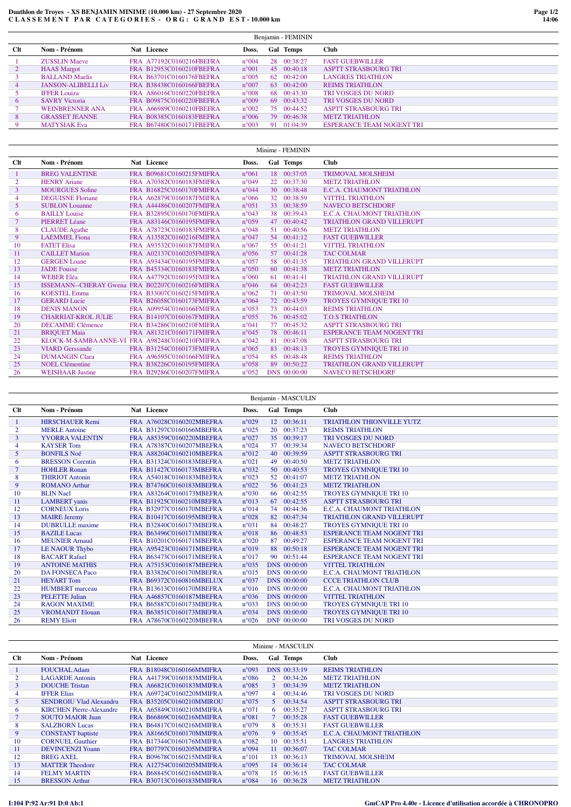## **Duathlon de Troyes - XS BENJAMIN MINIME (10.000 km) - 27 Septembre 2020 C L A S S E M E N T P A R C A T E G O R I E S - O R G : G R A N D E S T - 10.000 km**

| Benjamin - FEMININ |                            |                          |                |    |                     |                                  |  |
|--------------------|----------------------------|--------------------------|----------------|----|---------------------|----------------------------------|--|
| <b>Clt</b>         | Nom - Prénom               | Nat Licence              | Doss.          |    | <b>Gal</b> Temps    | Club                             |  |
|                    | <b>ZUSSLIN Maeve</b>       | FRA A77192C0160216FBEFRA | $n^{\circ}004$ |    | 28 00:38:27         | <b>FAST GUEBWILLER</b>           |  |
| 2                  | <b>HAAS</b> Margot         | FRA B12953C0160210FBEFRA | $n^{\circ}001$ |    | 45 00:40:18         | ASPTT STRASBOURG TRI             |  |
| 3                  | <b>BALLAND Maelis</b>      | FRA B63701C0160176FBEFRA | $n^{\circ}005$ |    | $62 \quad 00:42:00$ | <b>LANGRES TRIATHLON</b>         |  |
| 4                  | <b>JANSON-ALIBELLI Liv</b> | FRA B38438C0160166FBEFRA | $n^{\circ}007$ |    | $63 \quad 00:42:00$ | <b>REIMS TRIATHLON</b>           |  |
| 5.                 | <b>IFFER Louiza</b>        | FRA A86016C0160220FBEFRA | $n^{\circ}008$ |    | 68 00:43:30         | <b>TRI VOSGES DU NORD</b>        |  |
| 6                  | <b>SAVRY Victoria</b>      | FRA B09875C0160220FBEFRA | $n^{\circ}009$ |    | $69 \quad 00:43:32$ | <b>TRI VOSGES DU NORD</b>        |  |
|                    | <b>WEINBRENNER ANA</b>     | FRA A66989C0160210FBEFRA | $n^{\circ}002$ |    | 75 00:44:52         | <b>ASPTT STRASBOURG TRI</b>      |  |
| 8                  | <b>GRASSET JEANNE</b>      | FRA B08385C0160183FBEFRA | $n^{\circ}006$ |    | 79 00:46:38         | <b>METZ TRIATHLON</b>            |  |
| 9                  | <b>MATYSIAK Eva</b>        | FRA B67480C0160171FBEFRA | $n^{\circ}003$ | 91 | 01:04:39            | <b>ESPERANCE TEAM NOGENT TRI</b> |  |

|                | Minime - FEMININ           |                                                 |                |                 |              |                                  |  |
|----------------|----------------------------|-------------------------------------------------|----------------|-----------------|--------------|----------------------------------|--|
| <b>Clt</b>     | Nom - Prénom               | Nat Licence                                     | Doss.          |                 | Gal Temps    | <b>Club</b>                      |  |
|                | <b>BREG VALENTINE</b>      | FRA B09681C0160215FMIFRA                        | $n^{\circ}061$ |                 | 18 00:37:05  | <b>TRIMOVAL MOLSHEIM</b>         |  |
| $\overline{2}$ | <b>HENRY Ariane</b>        | FRA A70382C0160183FMIFRA                        | $n^{\circ}049$ | 22              | 00:37:30     | <b>METZ TRIATHLON</b>            |  |
| 3              | <b>MOURGUES Soline</b>     | FRA B16825C0160170FMIFRA                        | $n^{\circ}044$ |                 | 30 00:38:48  | E.C.A. CHAUMONT TRIATHLON        |  |
|                | <b>DEGUISNE Floriane</b>   | FRA A62879C0160187FMIFRA                        | $n^{\circ}066$ | 32 <sup>2</sup> | 00:38:59     | <b>VITTEL TRIATHLON</b>          |  |
| 5              | <b>SUBLON Louanne</b>      | FRA A44486C0160207FMIFRA                        | $n^{\circ}051$ |                 | 33 00:38:59  | <b>NAVECO BETSCHDORF</b>         |  |
| 6              | <b>BAILLY Louise</b>       | FRA B32895C0160170FMIFRA                        | $n^{\circ}043$ |                 | 38 00:39:43  | E.C.A. CHAUMONT TRIATHLON        |  |
| $\overline{7}$ | <b>PIERRET Léane</b>       | FRA A83146C0160195FMIFRA                        | $n^{\circ}059$ | 47              | 00:40:42     | <b>TRIATHLON GRAND VILLERUPT</b> |  |
| 8              | <b>CLAUDE</b> Agathe       | FRA A78723C0160183FMIFRA                        | $n^{\circ}048$ |                 | 51 00:40:56  | <b>METZ TRIATHLON</b>            |  |
| 9              | <b>LAEMMEL</b> Fiona       | FRA A13582C0160216FMIFRA                        | $n^{\circ}047$ |                 | 54 00:41:12  | <b>FAST GUEBWILLER</b>           |  |
| 10             | <b>FATET Elisa</b>         | FRA A93532C0160187FMIFRA                        | $n^{\circ}067$ |                 | 55 00:41:21  | <b>VITTEL TRIATHLON</b>          |  |
| 11             | <b>CAILLET Marion</b>      | FRA A02137C0160205FMIFRA                        | $n^{\circ}056$ |                 | 57 00:41:28  | <b>TAC COLMAR</b>                |  |
| 12             | <b>GERGEN Loane</b>        | FRA A93434C0160195FMIFRA                        | $n^{\circ}057$ |                 | 58 00:41:35  | <b>TRIATHLON GRAND VILLERUPT</b> |  |
| 13             | <b>JADE</b> Fousse         | FRA B45334C0160183FMIFRA                        | $n^{\circ}050$ |                 | 60 00:41:38  | <b>METZ TRIATHLON</b>            |  |
| 14             | <b>WEBER Eléa</b>          | FRA A47792C0160195FMIFRA                        | $n^{\circ}060$ | 61              | 00:41:41     | <b>TRIATHLON GRAND VILLERUPT</b> |  |
| 15             |                            | ISSEMANN--CHERAY Gwena FRA B02207C0160216FMIFRA | $n^{\circ}046$ | 64              | 00:42:23     | <b>FAST GUEBWILLER</b>           |  |
| 16             | <b>KOESTEL Emma</b>        | FRA B33007C0160215FMIFRA                        | $n^{\circ}062$ |                 | 71 00:43:50  | <b>TRIMOVAL MOLSHEIM</b>         |  |
| 17             | <b>GERARD Lucie</b>        | FRA B26058C0160173FMIFRA                        | $n^{\circ}064$ |                 | 72 00:43:59  | TROYES GYMNIQUE TRI 10           |  |
| 18             | <b>DENIS MANON</b>         | FRA A09954C0160166FMIFRA                        | $n^{\circ}053$ |                 | 73 00:44:03  | <b>REIMS TRIATHLON</b>           |  |
| 19             | <b>CHARRIAT-KROL JULIE</b> | FRA B14107C0160167FMIFRA                        | $n^{\circ}055$ |                 | 76 00:45:02  | <b>T.O.S TRIATHLON</b>           |  |
| 20             | <b>DECAMME</b> Clémence    | FRA B34286C0160210FMIFRA                        | $n^{\circ}041$ | 77              | 00:45:32     | <b>ASPTT STRASBOURG TRI</b>      |  |
| 21             | <b>BRIOUET Maia</b>        | FRA A81321C0160171FMIFRA                        | $n^{\circ}045$ |                 | 78 00:46:11  | <b>ESPERANCE TEAM NOGENT TRI</b> |  |
| 22             |                            | KLOCK-M-SAMBA ANNE-VI FRA A98248C0160210FMIFRA  | $n^{\circ}042$ | 81              | 00:47:08     | <b>ASPTT STRASBOURG TRI</b>      |  |
| 23             | <b>VIARD</b> Gerssande     | FRA B31254C0160173FMIFRA                        | $n^{\circ}065$ |                 | 83 00:48:13  | TROYES GYMNIQUE TRI 10           |  |
| 24             | <b>DUMANGIN Clara</b>      | FRA A96595C0160166FMIFRA                        | $n^{\circ}054$ |                 | 85 00:48:48  | <b>REIMS TRIATHLON</b>           |  |
| 25             | <b>NOEL Clémentine</b>     | FRA B38226C0160195FMIFRA                        | $n^{\circ}058$ |                 | 89 00:50:22  | TRIATHLON GRAND VILLERUPT        |  |
| 26             | <b>WEISHAAR Justine</b>    | FRA B29286C0160207FMIFRA                        | $n^{\circ}052$ |                 | DNS 00:00:00 | <b>NAVECO BETSCHDORF</b>         |  |

|        | Benjamin - MASCULIN     |                          |                |                |                                  |  |  |
|--------|-------------------------|--------------------------|----------------|----------------|----------------------------------|--|--|
| $Clt$  | Nom - Prénom            | <b>Nat</b> Licence       | Doss.          | Gal Temps      | <b>Club</b>                      |  |  |
| -1     | <b>HIRSCHAUER Remi</b>  | FRA A76028C0160202MBEFRA | $n^{\circ}029$ | 12 00:36:11    | <b>TRIATHLON THIONVILLE YUTZ</b> |  |  |
|        | <b>MERLE</b> Antoine    | FRA B31297C0160166MBEFRA | $n^{\circ}025$ | 20 00:37:23    | <b>REIMS TRIATHLON</b>           |  |  |
| 3      | <b>YVORRA VALENTIN</b>  | FRA A85359C0160220MBEFRA | $n^{\circ}027$ | 35 00:39:17    | <b>TRI VOSGES DU NORD</b>        |  |  |
|        | <b>KAYSER Tom</b>       | FRA A78387C0160207MBEFRA | $n^{\circ}024$ | 00:39:34<br>37 | <b>NAVECO BETSCHDORF</b>         |  |  |
| 5      | <b>BONFILS Noé</b>      | FRA A88204C0160210MBEFRA | $n^{\circ}012$ | 40 00:39:59    | <b>ASPTT STRASBOURG TRI</b>      |  |  |
| 6      | <b>BRESSON</b> Corentin | FRA B31324C0160183MBEFRA | $n^{\circ}021$ | 00:40:50<br>49 | <b>METZ TRIATHLON</b>            |  |  |
| $\tau$ | <b>HOHLER Ronan</b>     | FRA B11427C0160173MBEFRA | $n^{\circ}032$ | 50 00:40:53    | <b>TROYES GYMNIQUE TRI 10</b>    |  |  |
| 8      | <b>THIRIOT Antonin</b>  | FRA A54018C0160183MBEFRA | $n^{\circ}023$ | 52 00:41:07    | <b>METZ TRIATHLON</b>            |  |  |
| 9      | <b>ROMANO Arthur</b>    | FRA B74760C0160183MBEFRA | $n^{\circ}022$ | 56 00:41:23    | <b>METZ TRIATHLON</b>            |  |  |
| 10     | <b>BLIN</b> Nael        | FRA A83264C0160173MBEFRA | $n^{\circ}030$ | 66 00:42:55    | TROYES GYMNIQUE TRI 10           |  |  |
| 11     | <b>LAMBERT</b> yanis    | FRA B11925C0160210MBEFRA | $n^{\circ}013$ | 00:42:55<br>67 | <b>ASPTT STRASBOURG TRI</b>      |  |  |
| 12     | <b>CORNEUX Loris</b>    | FRA B32977C0160170MBEFRA | $n^{\circ}014$ | 74 00:44:36    | E.C.A. CHAUMONT TRIATHLON        |  |  |
| 13     | <b>MAIRE Jeremy</b>     | FRA B10417C0160195MBEFRA | $n^{\circ}028$ | 82<br>00:47:34 | <b>TRIATHLON GRAND VILLERUPT</b> |  |  |
| 14     | <b>DUBRULLE</b> maxime  | FRA B32840C0160173MBEFRA | n°031          | 84 00:48:27    | TROYES GYMNIQUE TRI 10           |  |  |
| 15     | <b>BAZILE</b> Lucas     | FRA B63496C0160171MBEFRA | $n^{\circ}018$ | 86 00:48:53    | <b>ESPERANCE TEAM NOGENT TRI</b> |  |  |
| 16     | <b>MEUNIER Arnaud</b>   | FRA B10201C0160171MBEFRA | $n^{\circ}020$ | 00:49:27<br>87 | <b>ESPERANCE TEAM NOGENT TRI</b> |  |  |
| 17     | LE NAOUR Thybo          | FRA A95423C0160171MBEFRA | $n^{\circ}019$ | 88 00:50:18    | <b>ESPERANCE TEAM NOGENT TRI</b> |  |  |
| 18     | <b>BACART Rafael</b>    | FRA B63473C0160171MBEFRA | $n^{\circ}017$ | 90 00:51:44    | <b>ESPERANCE TEAM NOGENT TRI</b> |  |  |
| 19     | <b>ANTOINE MATHIS</b>   | FRA A75153C0160187MBEFRA | $n^{\circ}035$ | DNS 00:00:00   | <b>VITTEL TRIATHLON</b>          |  |  |
| 20     | <b>DA FONSECA Paco</b>  | FRA B33826C0160170MBEFRA | $n^{\circ}015$ | DNS 00:00:00   | E.C.A. CHAUMONT TRIATHLON        |  |  |
| 21     | <b>HEYART</b> Tom       | FRA B69372C0160816MBELUX | $n^{\circ}037$ | DNS 00:00:00   | <b>CCCE TRIATHLON CLUB</b>       |  |  |
| 22     | <b>HUMBERT</b> marceau  | FRA B13613C0160170MBEFRA | $n^{\circ}016$ | DNS 00:00:00   | E.C.A. CHAUMONT TRIATHLON        |  |  |
| 23     | <b>PELETTE Julian</b>   | FRA A46857C0160187MBEFRA | $n^{\circ}036$ | DNS 00:00:00   | <b>VITTEL TRIATHLON</b>          |  |  |
| 24     | <b>RAGON MAXIME</b>     | FRA B65887C0160173MBEFRA | $n^{\circ}033$ | DNS 00:00:00   | TROYES GYMNIQUE TRI 10           |  |  |
| 25     | <b>VROMANDT Elouan</b>  | FRA B63851C0160173MBEFRA | $n^{\circ}034$ | DNS 00:00:00   | <b>TROYES GYMNIQUE TRI 10</b>    |  |  |
| 26     | <b>REMY Eliott</b>      | FRA A78670C0160220MBEFRA | $n^{\circ}026$ | DNF 00:00:00   | <b>TRI VOSGES DU NORD</b>        |  |  |

|              | Minime - MASCULIN               |                          |                |        |                   |                             |
|--------------|---------------------------------|--------------------------|----------------|--------|-------------------|-----------------------------|
| $_{\rm Clt}$ | Nom - Prénom                    | Nat Licence              | Doss.          |        | Gal Temps         | Club                        |
|              | <b>FOUCHAL Adam</b>             | FRA B18048C0160166MMIFRA | $n^{\circ}093$ |        | DNS 00:33:19      | <b>REIMS TRIATHLON</b>      |
|              | <b>LAGARDE Antonin</b>          | FRA A41739C0160183MMIFRA | $n^{\circ}086$ |        | $2\quad 00:34:26$ | <b>METZ TRIATHLON</b>       |
| 3            | <b>DOUCHE</b> Tristan           | FRA A66821C0160183MMIFRA | $n^{\circ}085$ |        | 300:34:39         | <b>METZ TRIATHLON</b>       |
|              | <b>IFFER Elias</b>              | FRA A69724C0160220MMIFRA | $n^{\circ}097$ |        | 400:34:46         | <b>TRI VOSGES DU NORD</b>   |
| 5            | <b>SENDROIU Vlad Alexandru</b>  | FRA B35205C0160210MMIROU | $n^{\circ}075$ |        | 5 00:34:54        | <b>ASPTT STRASBOURG TRI</b> |
| 6            | <b>KIRCHEN Pierre-Alexandre</b> | FRA A65849C0160210MMIFRA | $n^{\circ}071$ |        | 600:35:27         | <b>ASPTT STRASBOURG TRI</b> |
|              | <b>SOUTO MAIOR Juan</b>         | FRA B66869C0160216MMIFRA | $n^{\circ}081$ |        | 700:35:28         | <b>FAST GUEBWILLER</b>      |
| 8            | <b>SALZBORN Lucas</b>           | FRA B64817C0160216MMIFRA | $n^{\circ}079$ | 8.     | 00:35:31          | <b>FAST GUEBWILLER</b>      |
| 9            | <b>CONSTANT</b> baptiste        | FRA A81665C0160170MMIFRA | $n^{\circ}076$ | 9      | 00:35:45          | E.C.A. CHAUMONT TRIATHLON   |
| 10           | <b>CORNUEL Gauthier</b>         | FRA B17344C0160176MMIFRA | $n^{\circ}082$ |        | 10 00:35:51       | <b>LANGRES TRIATHLON</b>    |
| 11           | <b>DEVINCENZI Yoann</b>         | FRA B07797C0160205MMIFRA | $n^{\circ}094$ | 11     | 00:36:07          | <b>TAC COLMAR</b>           |
| 12           | <b>BREG AXEL</b>                | FRA B09678C0160215MMIFRA | $n^{\circ}101$ | $13 -$ | 00:36:13          | <b>TRIMOVAL MOLSHEIM</b>    |
| 13           | <b>MATTER Theodore</b>          | FRA A12754C0160205MMIFRA | $n^{\circ}095$ |        | 14 00:36:14       | <b>TAC COLMAR</b>           |
| 14           | <b>FELMY MARTIN</b>             | FRA B68845C0160216MMIFRA | $n^{\circ}078$ |        | 15 00:36:15       | <b>FAST GUEBWILLER</b>      |
| 15           | <b>BRESSON Arthur</b>           | FRA B30713C0160183MMIFRA | $n^{\circ}084$ |        | 16 00:36:28       | <b>METZ TRIATHLON</b>       |